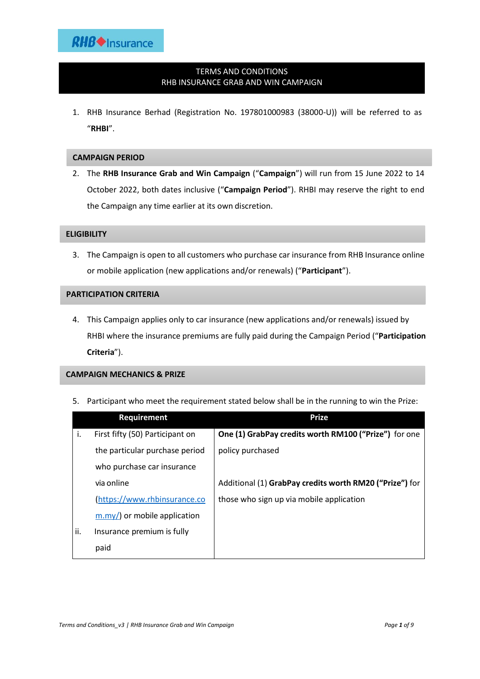# TERMS AND CONDITIONS RHB INSURANCE GRAB AND WIN CAMPAIGN

1. RHB Insurance Berhad (Registration No. 197801000983 (38000-U)) will be referred to as "**RHBI**".

## **CAMPAIGN PERIOD**

2. The **RHB Insurance Grab and Win Campaign** ("**Campaign**") will run from 15 June 2022 to 14 October 2022, both dates inclusive ("**Campaign Period**"). RHBI may reserve the right to end the Campaign any time earlier at its own discretion.

## **ELIGIBILITY**

3. The Campaign is open to all customers who purchase car insurance from RHB Insurance online or mobile application (new applications and/or renewals) ("**Participant**").

## **PARTICIPATION CRITERIA**

4. This Campaign applies only to car insurance (new applications and/or renewals) issued by RHBI where the insurance premiums are fully paid during the Campaign Period ("**Participation Criteria**").

## **CAMPAIGN MECHANICS & PRIZE**

5. Participant who meet the requirement stated below shall be in the running to win the Prize:

|     | <b>Requirement</b>                          | <b>Prize</b>                                            |
|-----|---------------------------------------------|---------------------------------------------------------|
| i.  | First fifty (50) Participant on             | One (1) GrabPay credits worth RM100 ("Prize") for one   |
|     | the particular purchase period              | policy purchased                                        |
|     | who purchase car insurance                  |                                                         |
|     | via online                                  | Additional (1) GrabPay credits worth RM20 ("Prize") for |
|     | (https://www.rhbinsurance.co                | those who sign up via mobile application                |
|     | $\frac{m \cdot m}{l}$ or mobile application |                                                         |
| ii. | Insurance premium is fully                  |                                                         |
|     | paid                                        |                                                         |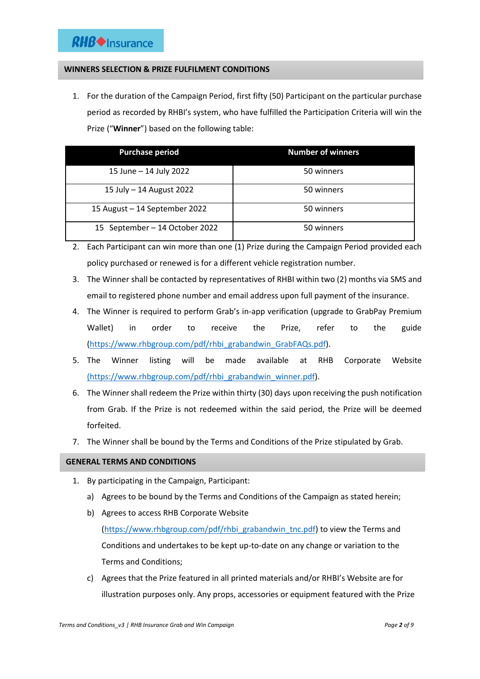# **WINNERS SELECTION & PRIZE FULFILMENT CONDITIONS**

1. For the duration of the Campaign Period, first fifty (50) Participant on the particular purchase period as recorded by RHBI's system, who have fulfilled the Participation Criteria will win the Prize ("**Winner**") based on the following table:

| <b>Purchase period</b>         | <b>Number of winners</b> |
|--------------------------------|--------------------------|
| 15 June - 14 July 2022         | 50 winners               |
| 15 July - 14 August 2022       | 50 winners               |
| 15 August - 14 September 2022  | 50 winners               |
| 15 September - 14 October 2022 | 50 winners               |

- 2. Each Participant can win more than one (1) Prize during the Campaign Period provided each policy purchased or renewed is for a different vehicle registration number.
- 3. The Winner shall be contacted by representatives of RHBI within two (2) months via SMS and email to registered phone number and email address upon full payment of the insurance.
- 4. The Winner is required to perform Grab's in-app verification (upgrade to GrabPay Premium Wallet) in order to receive the Prize, refer to the guide [\(https://www.rhbgroup.com/pdf/rhbi\\_grabandwin\\_GrabFAQs.pdf\)](https://www.rhbgroup.com/pdf/rhbi_grabandwin_GrabFAQs.pdf).
- 5. The Winner listing will be made available at RHB Corporate Website [\(https://www.rhbgroup.com/pdf/rhbi\\_grabandwin\\_winner.pdf\)](https://www.rhbgroup.com/pdf/rhbi_grabandwin_winner.pdf).
- 6. The Winner shall redeem the Prize within thirty (30) days upon receiving the push notification from Grab. If the Prize is not redeemed within the said period, the Prize will be deemed forfeited.
- 7. The Winner shall be bound by the Terms and Conditions of the Prize stipulated by Grab.

## **GENERAL TERMS AND CONDITIONS**

- 1. By participating in the Campaign, Participant:
	- a) Agrees to be bound by the Terms and Conditions of the Campaign as stated herein;
	- b) Agrees to access RHB Corporate Website [\(https://www.rhbgroup.com/pdf/rhbi\\_grabandwin\\_tnc.pdf\)](https://www.rhbgroup.com/pdf/rhbi_grabandwin_tnc.pdf) to view the Terms and Conditions and undertakes to be kept up-to-date on any change or variation to the Terms and Conditions;
	- c) Agrees that the Prize featured in all printed materials and/or RHBI's Website are for illustration purposes only. Any props, accessories or equipment featured with the Prize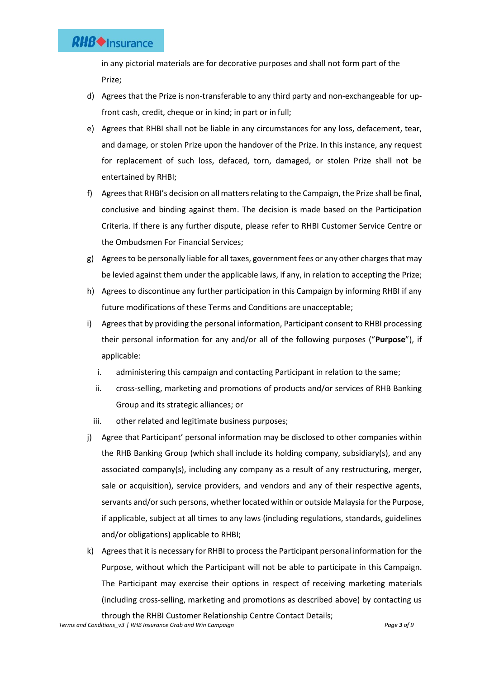# **RHB** Insurance

in any pictorial materials are for decorative purposes and shall not form part of the Prize;

- d) Agrees that the Prize is non-transferable to any third party and non-exchangeable for upfront cash, credit, cheque or in kind; in part or in full;
- e) Agrees that RHBI shall not be liable in any circumstances for any loss, defacement, tear, and damage, or stolen Prize upon the handover of the Prize. In this instance, any request for replacement of such loss, defaced, torn, damaged, or stolen Prize shall not be entertained by RHBI;
- f) Agrees that RHBI's decision on all matters relating to the Campaign, the Prize shall be final, conclusive and binding against them. The decision is made based on the Participation Criteria. If there is any further dispute, please refer to RHBI Customer Service Centre or the Ombudsmen For Financial Services;
- g) Agrees to be personally liable for all taxes, government fees or any other charges that may be levied against them under the applicable laws, if any, in relation to accepting the Prize;
- h) Agrees to discontinue any further participation in this Campaign by informing RHBI if any future modifications of these Terms and Conditions are unacceptable;
- i) Agrees that by providing the personal information, Participant consent to RHBI processing their personal information for any and/or all of the following purposes ("**Purpose**"), if applicable:
	- i. administering this campaign and contacting Participant in relation to the same;
	- ii. cross-selling, marketing and promotions of products and/or services of RHB Banking Group and its strategic alliances; or
	- iii. other related and legitimate business purposes;
- j) Agree that Participant' personal information may be disclosed to other companies within the RHB Banking Group (which shall include its holding company, subsidiary(s), and any associated company(s), including any company as a result of any restructuring, merger, sale or acquisition), service providers, and vendors and any of their respective agents, servants and/or such persons, whether located within or outside Malaysia for the Purpose, if applicable, subject at all times to any laws (including regulations, standards, guidelines and/or obligations) applicable to RHBI;
- k) Agrees that it is necessary for RHBI to process the Participant personal information for the Purpose, without which the Participant will not be able to participate in this Campaign. The Participant may exercise their options in respect of receiving marketing materials (including cross-selling, marketing and promotions as described above) by contacting us through the RHBI Customer Relationship Centre Contact Details;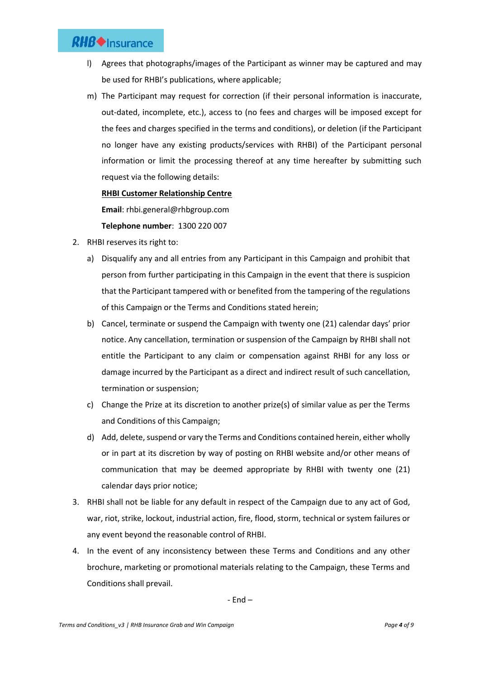# **RHB** Insurance

- l) Agrees that photographs/images of the Participant as winner may be captured and may be used for RHBI's publications, where applicable;
- m) The Participant may request for correction (if their personal information is inaccurate, out-dated, incomplete, etc.), access to (no fees and charges will be imposed except for the fees and charges specified in the terms and conditions), or deletion (if the Participant no longer have any existing products/services with RHBI) of the Participant personal information or limit the processing thereof at any time hereafter by submitting such request via the following details:

# **RHBI Customer Relationship Centre**

**Email**: rhbi.general@rhbgroup.com

**Telephone number**: 1300 220 007

- 2. RHBI reserves its right to:
	- a) Disqualify any and all entries from any Participant in this Campaign and prohibit that person from further participating in this Campaign in the event that there is suspicion that the Participant tampered with or benefited from the tampering of the regulations of this Campaign or the Terms and Conditions stated herein;
	- b) Cancel, terminate or suspend the Campaign with twenty one (21) calendar days' prior notice. Any cancellation, termination or suspension of the Campaign by RHBI shall not entitle the Participant to any claim or compensation against RHBI for any loss or damage incurred by the Participant as a direct and indirect result of such cancellation, termination or suspension;
	- c) Change the Prize at its discretion to another prize(s) of similar value as per the Terms and Conditions of this Campaign;
	- d) Add, delete, suspend or vary the Terms and Conditions contained herein, either wholly or in part at its discretion by way of posting on RHBI website and/or other means of communication that may be deemed appropriate by RHBI with twenty one (21) calendar days prior notice;
- 3. RHBI shall not be liable for any default in respect of the Campaign due to any act of God, war, riot, strike, lockout, industrial action, fire, flood, storm, technical or system failures or any event beyond the reasonable control of RHBI.
- 4. In the event of any inconsistency between these Terms and Conditions and any other brochure, marketing or promotional materials relating to the Campaign, these Terms and Conditions shall prevail.

- End –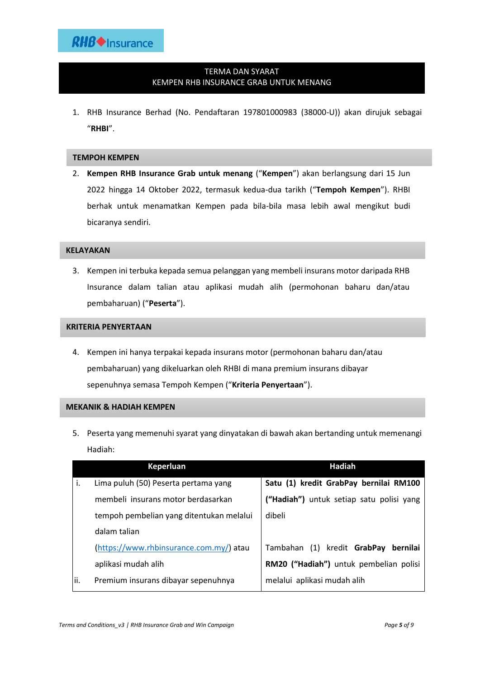# TERMA DAN SYARAT KEMPEN RHB INSURANCE GRAB UNTUK MENANG

1. RHB Insurance Berhad (No. Pendaftaran 197801000983 (38000-U)) akan dirujuk sebagai "**RHBI**".

### **TEMPOH KEMPEN**

2. **Kempen RHB Insurance Grab untuk menang** ("**Kempen**") akan berlangsung dari 15 Jun 2022 hingga 14 Oktober 2022, termasuk kedua-dua tarikh ("**Tempoh Kempen**"). RHBI berhak untuk menamatkan Kempen pada bila-bila masa lebih awal mengikut budi bicaranya sendiri.

### **KELAYAKAN**

3. Kempen ini terbuka kepada semua pelanggan yang membeli insurans motor daripada RHB Insurance dalam talian atau aplikasi mudah alih (permohonan baharu dan/atau pembaharuan) ("**Peserta**").

## **KRITERIA PENYERTAAN**

4. Kempen ini hanya terpakai kepada insurans motor (permohonan baharu dan/atau pembaharuan) yang dikeluarkan oleh RHBI di mana premium insurans dibayar sepenuhnya semasa Tempoh Kempen ("**Kriteria Penyertaan**").

### **MEKANIK & HADIAH KEMPEN**

5. Peserta yang memenuhi syarat yang dinyatakan di bawah akan bertanding untuk memenangi Hadiah:

|      | Keperluan                                | Hadiah                                   |
|------|------------------------------------------|------------------------------------------|
| j.   | Lima puluh (50) Peserta pertama yang     | Satu (1) kredit GrabPay bernilai RM100   |
|      | membeli insurans motor berdasarkan       | ("Hadiah") untuk setiap satu polisi yang |
|      | tempoh pembelian yang ditentukan melalui | dibeli                                   |
|      | dalam talian                             |                                          |
|      | (https://www.rhbinsurance.com.my/) atau  | Tambahan (1) kredit GrabPay<br>bernilai  |
|      | aplikasi mudah alih                      | RM20 ("Hadiah") untuk pembelian polisi   |
| lii. | Premium insurans dibayar sepenuhnya      | melalui aplikasi mudah alih              |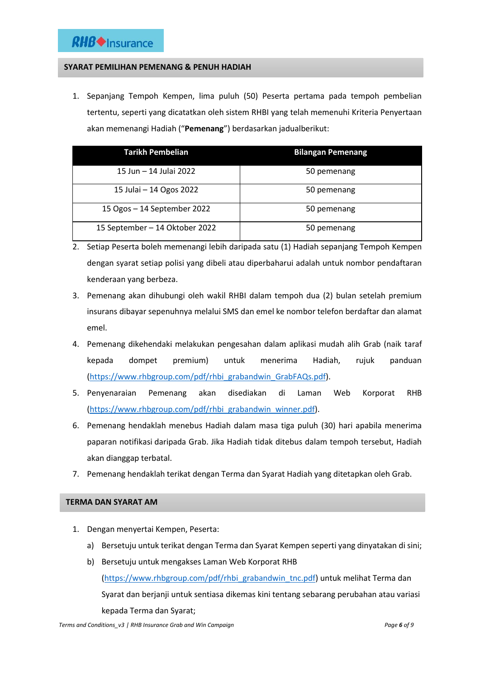# **SYARAT PEMILIHAN PEMENANG & PENUH HADIAH**

1. Sepanjang Tempoh Kempen, lima puluh (50) Peserta pertama pada tempoh pembelian tertentu, seperti yang dicatatkan oleh sistem RHBI yang telah memenuhi Kriteria Penyertaan akan memenangi Hadiah ("**Pemenang**") berdasarkan jadualberikut:

| <b>Tarikh Pembelian</b>        | <b>Bilangan Pemenang</b> |
|--------------------------------|--------------------------|
| 15 Jun - 14 Julai 2022         | 50 pemenang              |
| 15 Julai - 14 Ogos 2022        | 50 pemenang              |
| 15 Ogos - 14 September 2022    | 50 pemenang              |
| 15 September - 14 Oktober 2022 | 50 pemenang              |

- 2. Setiap Peserta boleh memenangi lebih daripada satu (1) Hadiah sepanjang Tempoh Kempen dengan syarat setiap polisi yang dibeli atau diperbaharui adalah untuk nombor pendaftaran kenderaan yang berbeza.
- 3. Pemenang akan dihubungi oleh wakil RHBI dalam tempoh dua (2) bulan setelah premium insurans dibayar sepenuhnya melalui SMS dan emel ke nombor telefon berdaftar dan alamat emel.
- 4. Pemenang dikehendaki melakukan pengesahan dalam aplikasi mudah alih Grab (naik taraf kepada dompet premium) untuk menerima Hadiah, rujuk panduan [\(https://www.rhbgroup.com/pdf/rhbi\\_grabandwin\\_GrabFAQs.pdf\)](https://www.rhbgroup.com/pdf/rhbi_grabandwin_GrabFAQs.pdf).
- 5. Penyenaraian Pemenang akan disediakan di Laman Web Korporat RHB [\(https://www.rhbgroup.com/pdf/rhbi\\_grabandwin\\_winner.pdf\)](https://www.rhbgroup.com/pdf/rhbi_grabandwin_winner.pdf).
- 6. Pemenang hendaklah menebus Hadiah dalam masa tiga puluh (30) hari apabila menerima paparan notifikasi daripada Grab. Jika Hadiah tidak ditebus dalam tempoh tersebut, Hadiah akan dianggap terbatal.
- 7. Pemenang hendaklah terikat dengan Terma dan Syarat Hadiah yang ditetapkan oleh Grab.

## **TERMA DAN SYARAT AM**

- 1. Dengan menyertai Kempen, Peserta:
	- a) Bersetuju untuk terikat dengan Terma dan Syarat Kempen seperti yang dinyatakan di sini;
	- b) Bersetuju untuk mengakses Laman Web Korporat RHB [\(https://www.rhbgroup.com/pdf/rhbi\\_grabandwin\\_tnc.pdf\)](https://www.rhbgroup.com/pdf/rhbi_grabandwin_tnc.pdf) untuk melihat Terma dan Syarat dan berjanji untuk sentiasa dikemas kini tentang sebarang perubahan atau variasi kepada Terma dan Syarat;

*Terms and Conditions\_v3 | RHB Insurance Grab and Win Campaign Page 6 of 9*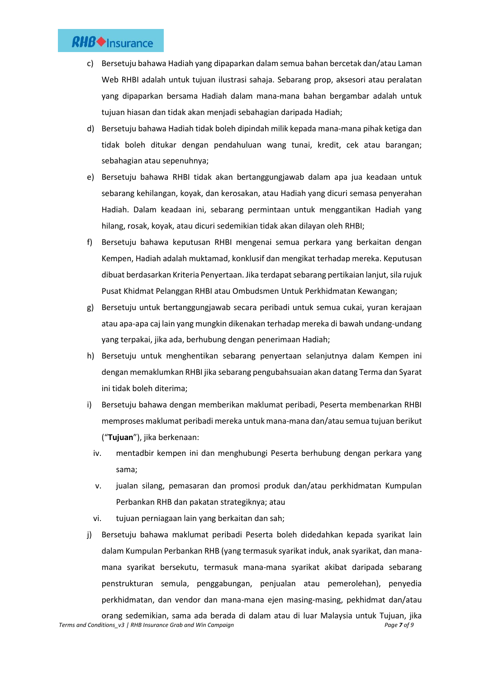- c) Bersetuju bahawa Hadiah yang dipaparkan dalam semua bahan bercetak dan/atau Laman Web RHBI adalah untuk tujuan ilustrasi sahaja. Sebarang prop, aksesori atau peralatan yang dipaparkan bersama Hadiah dalam mana-mana bahan bergambar adalah untuk tujuan hiasan dan tidak akan menjadi sebahagian daripada Hadiah;
- d) Bersetuju bahawa Hadiah tidak boleh dipindah milik kepada mana-mana pihak ketiga dan tidak boleh ditukar dengan pendahuluan wang tunai, kredit, cek atau barangan; sebahagian atau sepenuhnya;
- e) Bersetuju bahawa RHBI tidak akan bertanggungjawab dalam apa jua keadaan untuk sebarang kehilangan, koyak, dan kerosakan, atau Hadiah yang dicuri semasa penyerahan Hadiah. Dalam keadaan ini, sebarang permintaan untuk menggantikan Hadiah yang hilang, rosak, koyak, atau dicuri sedemikian tidak akan dilayan oleh RHBI;
- f) Bersetuju bahawa keputusan RHBI mengenai semua perkara yang berkaitan dengan Kempen, Hadiah adalah muktamad, konklusif dan mengikat terhadap mereka. Keputusan dibuat berdasarkan Kriteria Penyertaan. Jika terdapat sebarang pertikaian lanjut, sila rujuk Pusat Khidmat Pelanggan RHBI atau Ombudsmen Untuk Perkhidmatan Kewangan;
- g) Bersetuju untuk bertanggungjawab secara peribadi untuk semua cukai, yuran kerajaan atau apa-apa caj lain yang mungkin dikenakan terhadap mereka di bawah undang-undang yang terpakai, jika ada, berhubung dengan penerimaan Hadiah;
- h) Bersetuju untuk menghentikan sebarang penyertaan selanjutnya dalam Kempen ini dengan memaklumkan RHBI jika sebarang pengubahsuaian akan datang Terma dan Syarat ini tidak boleh diterima;
- i) Bersetuju bahawa dengan memberikan maklumat peribadi, Peserta membenarkan RHBI memproses maklumat peribadi mereka untuk mana-mana dan/atau semua tujuan berikut ("**Tujuan**"), jika berkenaan:
	- iv. mentadbir kempen ini dan menghubungi Peserta berhubung dengan perkara yang sama;
	- v. jualan silang, pemasaran dan promosi produk dan/atau perkhidmatan Kumpulan Perbankan RHB dan pakatan strategiknya; atau
	- vi. tujuan perniagaan lain yang berkaitan dan sah;
- j) Bersetuju bahawa maklumat peribadi Peserta boleh didedahkan kepada syarikat lain dalam Kumpulan Perbankan RHB (yang termasuk syarikat induk, anak syarikat, dan manamana syarikat bersekutu, termasuk mana-mana syarikat akibat daripada sebarang penstrukturan semula, penggabungan, penjualan atau pemerolehan), penyedia perkhidmatan, dan vendor dan mana-mana ejen masing-masing, pekhidmat dan/atau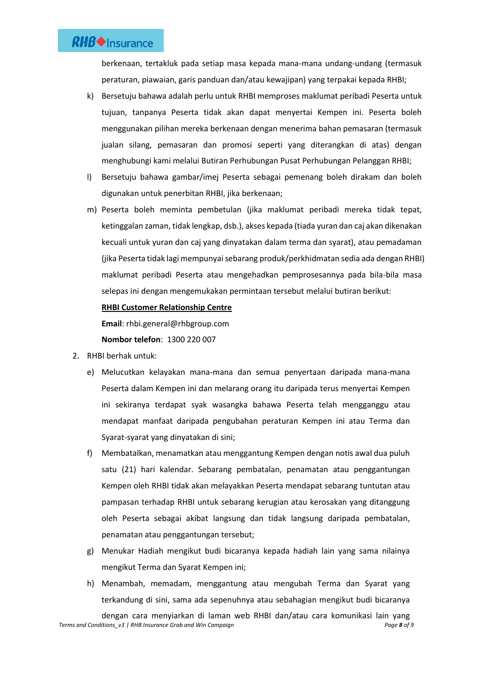berkenaan, tertakluk pada setiap masa kepada mana-mana undang-undang (termasuk peraturan, piawaian, garis panduan dan/atau kewajipan) yang terpakai kepada RHBI;

- k) Bersetuju bahawa adalah perlu untuk RHBI memproses maklumat peribadi Peserta untuk tujuan, tanpanya Peserta tidak akan dapat menyertai Kempen ini. Peserta boleh menggunakan pilihan mereka berkenaan dengan menerima bahan pemasaran (termasuk jualan silang, pemasaran dan promosi seperti yang diterangkan di atas) dengan menghubungi kami melalui Butiran Perhubungan Pusat Perhubungan Pelanggan RHBI;
- l) Bersetuju bahawa gambar/imej Peserta sebagai pemenang boleh dirakam dan boleh digunakan untuk penerbitan RHBI, jika berkenaan;
- m) Peserta boleh meminta pembetulan (jika maklumat peribadi mereka tidak tepat, ketinggalan zaman, tidak lengkap, dsb.), akses kepada (tiada yuran dan caj akan dikenakan kecuali untuk yuran dan caj yang dinyatakan dalam terma dan syarat), atau pemadaman (jika Peserta tidak lagi mempunyai sebarang produk/perkhidmatan sedia ada dengan RHBI) maklumat peribadi Peserta atau mengehadkan pemprosesannya pada bila-bila masa selepas ini dengan mengemukakan permintaan tersebut melalui butiran berikut:

## **RHBI Customer Relationship Centre**

**Email**: rhbi.general@rhbgroup.com

**Nombor telefon**: 1300 220 007

- 2. RHBI berhak untuk:
	- e) Melucutkan kelayakan mana-mana dan semua penyertaan daripada mana-mana Peserta dalam Kempen ini dan melarang orang itu daripada terus menyertai Kempen ini sekiranya terdapat syak wasangka bahawa Peserta telah mengganggu atau mendapat manfaat daripada pengubahan peraturan Kempen ini atau Terma dan Syarat-syarat yang dinyatakan di sini;
	- f) Membatalkan, menamatkan atau menggantung Kempen dengan notis awal dua puluh satu (21) hari kalendar. Sebarang pembatalan, penamatan atau penggantungan Kempen oleh RHBI tidak akan melayakkan Peserta mendapat sebarang tuntutan atau pampasan terhadap RHBI untuk sebarang kerugian atau kerosakan yang ditanggung oleh Peserta sebagai akibat langsung dan tidak langsung daripada pembatalan, penamatan atau penggantungan tersebut;
	- g) Menukar Hadiah mengikut budi bicaranya kepada hadiah lain yang sama nilainya mengikut Terma dan Syarat Kempen ini;
	- h) Menambah, memadam, menggantung atau mengubah Terma dan Syarat yang terkandung di sini, sama ada sepenuhnya atau sebahagian mengikut budi bicaranya